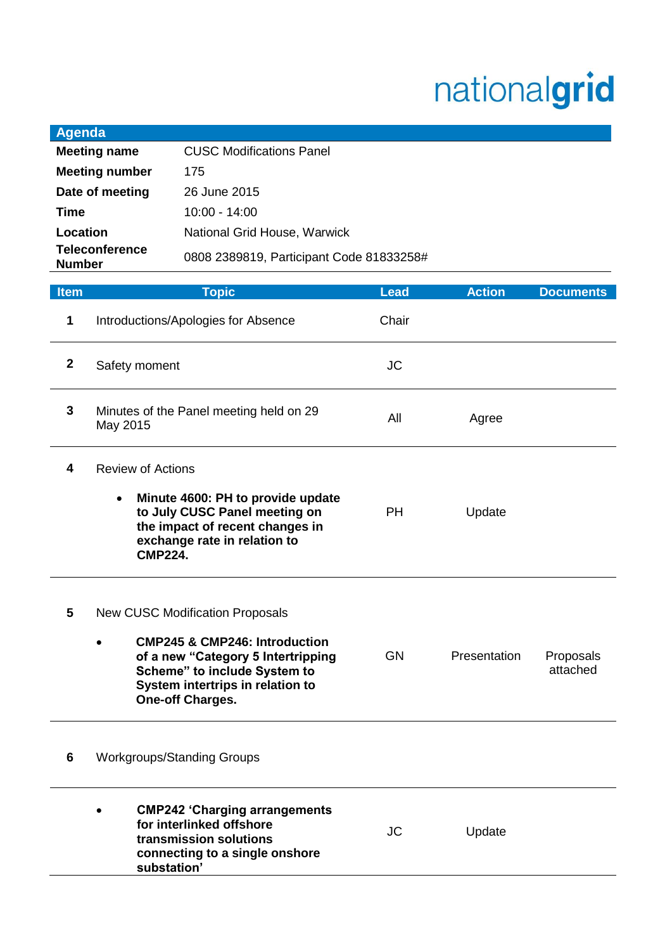## nationalgrid

| <b>Item</b>                            | <b>Topic</b>                             | Lead | <b>Action</b> | <b>Documents</b> |
|----------------------------------------|------------------------------------------|------|---------------|------------------|
| <b>Teleconference</b><br><b>Number</b> | 0808 2389819, Participant Code 81833258# |      |               |                  |
| Location                               | National Grid House, Warwick             |      |               |                  |
| Time                                   | $10:00 - 14:00$                          |      |               |                  |
| Date of meeting                        | 26 June 2015                             |      |               |                  |
| <b>Meeting number</b>                  | 175                                      |      |               |                  |
| <b>Meeting name</b>                    | <b>CUSC Modifications Panel</b>          |      |               |                  |
| Agenda                                 |                                          |      |               |                  |

| 1            | Introductions/Apologies for Absence                                                                                                                                                                                                  | Chair     |              |                       |
|--------------|--------------------------------------------------------------------------------------------------------------------------------------------------------------------------------------------------------------------------------------|-----------|--------------|-----------------------|
| $\mathbf{2}$ | Safety moment                                                                                                                                                                                                                        | <b>JC</b> |              |                       |
| 3            | Minutes of the Panel meeting held on 29<br>May 2015                                                                                                                                                                                  | All       | Agree        |                       |
| 4            | <b>Review of Actions</b><br>Minute 4600: PH to provide update<br>to July CUSC Panel meeting on<br>the impact of recent changes in<br>exchange rate in relation to<br><b>CMP224.</b>                                                  | PH.       | Update       |                       |
| 5            | <b>New CUSC Modification Proposals</b><br><b>CMP245 &amp; CMP246: Introduction</b><br>$\bullet$<br>of a new "Category 5 Intertripping<br>Scheme" to include System to<br>System intertrips in relation to<br><b>One-off Charges.</b> | <b>GN</b> | Presentation | Proposals<br>attached |
| 6            | <b>Workgroups/Standing Groups</b>                                                                                                                                                                                                    |           |              |                       |
|              | <b>CMP242 'Charging arrangements</b><br>for interlinked offshore<br>transmission solutions<br>connecting to a single onshore<br>substation'                                                                                          | <b>JC</b> | Update       |                       |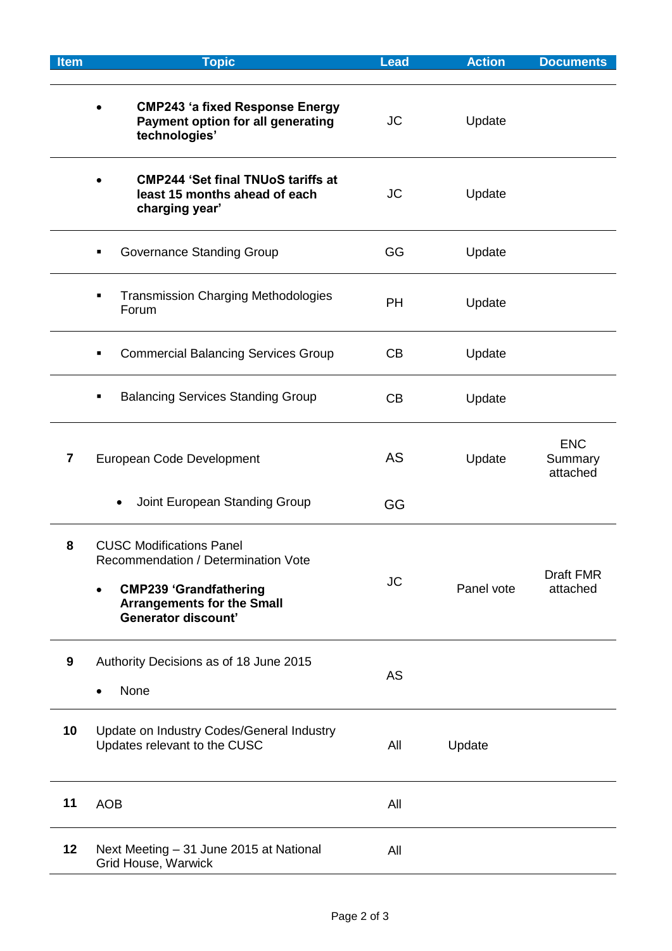| <b>Item</b> | <b>Topic</b>                                                                                                                                                                            | <b>Lead</b> | <b>Action</b> | <b>Documents</b>                  |
|-------------|-----------------------------------------------------------------------------------------------------------------------------------------------------------------------------------------|-------------|---------------|-----------------------------------|
|             | <b>CMP243 'a fixed Response Energy</b><br>Payment option for all generating<br>technologies'                                                                                            | <b>JC</b>   | Update        |                                   |
|             | <b>CMP244 'Set final TNUoS tariffs at</b><br>least 15 months ahead of each<br>charging year'                                                                                            | <b>JC</b>   | Update        |                                   |
|             | Governance Standing Group                                                                                                                                                               | GG          | Update        |                                   |
|             | <b>Transmission Charging Methodologies</b><br>Ξ<br>Forum                                                                                                                                | <b>PH</b>   | Update        |                                   |
|             | <b>Commercial Balancing Services Group</b>                                                                                                                                              | CB          | Update        |                                   |
|             | <b>Balancing Services Standing Group</b><br>٠                                                                                                                                           | CB          | Update        |                                   |
| 7           | European Code Development                                                                                                                                                               | AS          | Update        | <b>ENC</b><br>Summary<br>attached |
|             | Joint European Standing Group<br>$\bullet$                                                                                                                                              | GG          |               |                                   |
| 8           | <b>CUSC Modifications Panel</b><br>Recommendation / Determination Vote<br><b>CMP239 'Grandfathering</b><br>$\bullet$<br><b>Arrangements for the Small</b><br><b>Generator discount'</b> | <b>JC</b>   | Panel vote    | Draft FMR<br>attached             |
| 9           | Authority Decisions as of 18 June 2015<br>None                                                                                                                                          | <b>AS</b>   |               |                                   |
| 10          | Update on Industry Codes/General Industry<br>Updates relevant to the CUSC                                                                                                               | All         | Update        |                                   |
| 11          | <b>AOB</b>                                                                                                                                                                              | All         |               |                                   |
| 12          | Next Meeting - 31 June 2015 at National<br>Grid House, Warwick                                                                                                                          | All         |               |                                   |